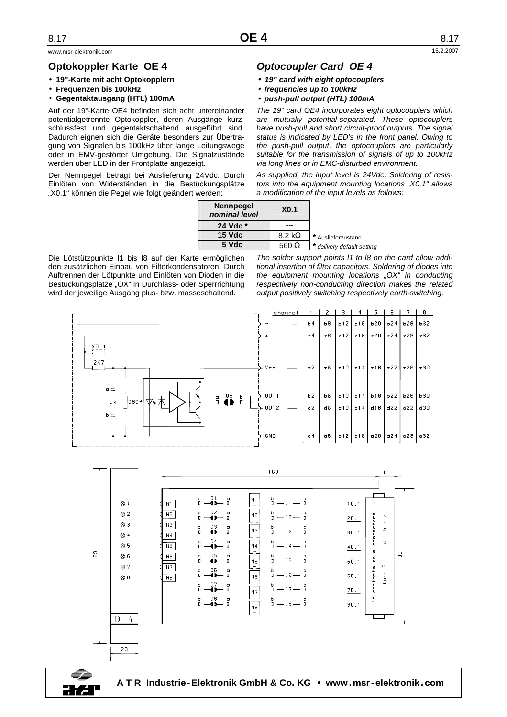www.msr-elektronik.com 15.2.2007

## **Optokoppler Karte OE 4**

- • **19"-Karte mit acht Optokopplern**
- **Frequenzen bis 100kHz**
- **Gegentaktausgang (HTL) 100mA**

Auf der 19"-Karte OE4 befinden sich acht untereinander potentialgetrennte Optokoppler, deren Ausgänge kurzschlussfest und gegentaktschaltend ausgeführt sind. Dadurch eignen sich die Geräte besonders zur Übertragung von Signalen bis 100kHz über lange Leitungswege oder in EMV-gestörter Umgebung. Die Signalzustände werden über LED in der Frontplatte angezeigt.

Der Nennpegel beträgt bei Auslieferung 24Vdc. Durch Einlöten von Widerständen in die Bestückungsplätze "X0.1" können die Pegel wie folgt geändert werden:

## **Optocoupler Card OE 4**

- **19" card with eight optocouplers**
- **frequencies up to 100kHz**
- **push-pull output (HTL) 100mA**

The 19" card OE4 incorporates eight optocouplers which are mutually potential-separated. These optocouplers have push-pull and short circuit-proof outputs. The signal status is indicated by LED's in the front panel. Owing to the push-pull output, the optocouplers are particularly suitable for the transmission of signals of up to 100kHz via long lines or in EMC-disturbed environment.

As supplied, the input level is 24Vdc. Soldering of resistors into the equipment mounting locations ..X0.1" allows a modification of the input levels as follows:

| <b>Nennpegel</b><br>nominal level | X <sub>0.1</sub>      |                            |
|-----------------------------------|-----------------------|----------------------------|
| 24 Vdc *                          |                       |                            |
| $15$ Vdc                          | $8.2 \text{ k}\Omega$ | * Auslieferzustand         |
| 5 Vdc                             | 560 $\Omega$          | * delivery default setting |

Die Lötstützpunkte I1 bis I8 auf der Karte ermöglichen den zusätzlichen Einbau von Filterkondensatoren. Durch Auftrennen der Lötpunkte und Einlöten von Dioden in die Bestückungsplätze "OX" in Durchlass- oder Sperrrichtung wird der jeweilige Ausgang plus- bzw. masseschaltend.

The solder support points 11 to 18 on the card allow additional insertion of filter capacitors. Soldering of diodes into the equipment mounting locations " $OX<sup>u</sup>$  in conducting respectively non-conducting direction makes the related output positively switching respectively earth-switching.